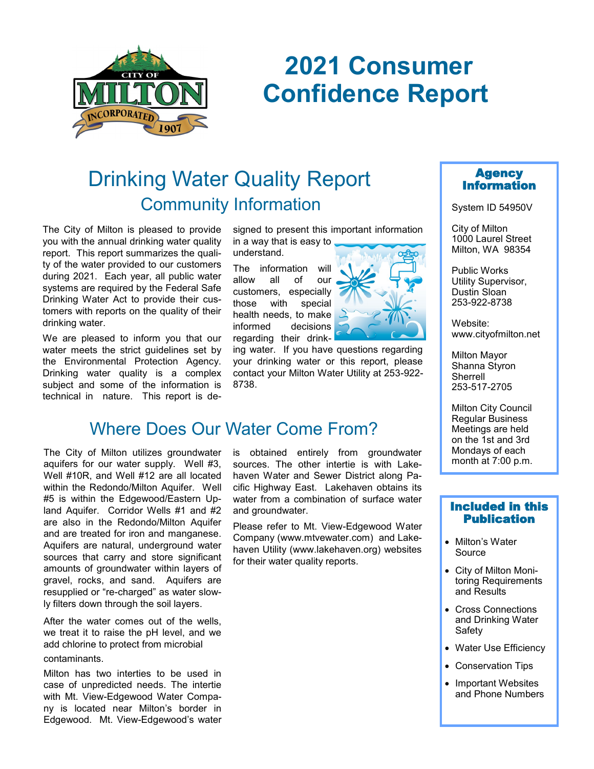

# **2021 Consumer Confidence Report**

## Community Information Drinking Water Quality Report

The City of Milton is pleased to provide you with the annual drinking water quality report. This report summarizes the quality of the water provided to our customers during 2021. Each year, all public water systems are required by the Federal Safe Drinking Water Act to provide their customers with reports on the quality of their drinking water.

We are pleased to inform you that our water meets the strict guidelines set by the Environmental Protection Agency. Drinking water quality is a complex subject and some of the information is technical in nature. This report is designed to present this important information in a way that is easy to

understand.

The information will allow all of our customers, especially those with special health needs, to make informed decisions regarding their drink-

ing water. If you have questions regarding your drinking water or this report, please contact your Milton Water Utility at 253-922- 8738.

### Where Does Our Water Come From?

The City of Milton utilizes groundwater aquifers for our water supply. Well #3, Well #10R, and Well #12 are all located within the Redondo/Milton Aquifer. Well #5 is within the Edgewood/Eastern Upland Aquifer. Corridor Wells #1 and #2 are also in the Redondo/Milton Aquifer and are treated for iron and manganese. Aquifers are natural, underground water sources that carry and store significant amounts of groundwater within layers of gravel, rocks, and sand. Aquifers are resupplied or "re-charged" as water slowly filters down through the soil layers.

After the water comes out of the wells, we treat it to raise the pH level, and we add chlorine to protect from microbial

#### contaminants.

Milton has two interties to be used in case of unpredicted needs. The intertie with Mt. View-Edgewood Water Company is located near Milton's border in Edgewood. Mt. View-Edgewood's water

is obtained entirely from groundwater sources. The other intertie is with Lakehaven Water and Sewer District along Pacific Highway East. Lakehaven obtains its water from a combination of surface water and groundwater.

Please refer to Mt. View-Edgewood Water Company (www.mtvewater.com) and Lakehaven Utility (www.lakehaven.org) websites for their water quality reports.





System ID 54950V

City of Milton 1000 Laurel Street Milton, WA 98354

Public Works Utility Supervisor, Dustin Sloan 253-922-8738

Website: www.cityofmilton.net

Milton Mayor Shanna Styron Sherrell 253-517-2705

Milton City Council Regular Business Meetings are held on the 1st and 3rd Mondays of each month at 7:00 p.m.

#### Included in this Publication

- Milton's Water Source
- City of Milton Monitoring Requirements and Results
- Cross Connections and Drinking Water Safety
- Water Use Efficiency
- Conservation Tips
- Important Websites and Phone Numbers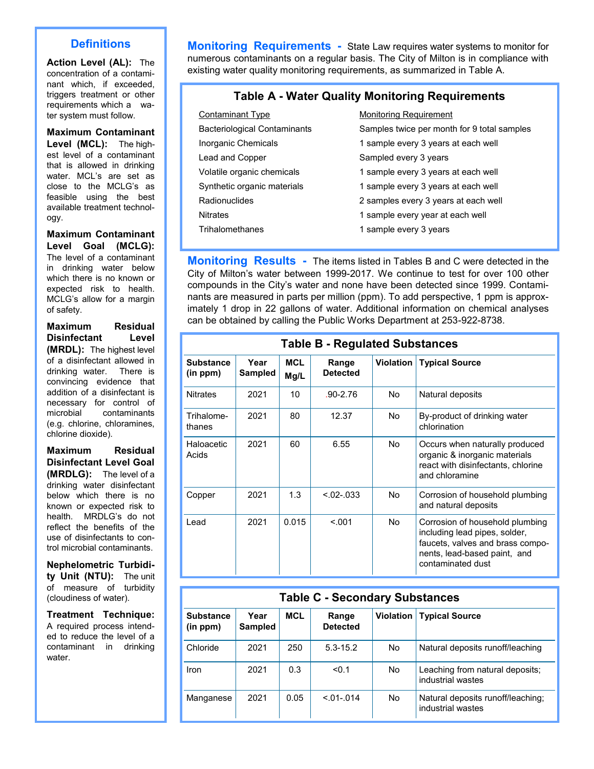#### **Definitions**

**Action Level (AL):** The concentration of a contaminant which, if exceeded, triggers treatment or other requirements which a water system must follow.

#### **Maximum Contaminant**

**Level (MCL):** The highest level of a contaminant that is allowed in drinking water. MCL's are set as close to the MCLG's as feasible using the best available treatment technology.

**Maximum Contaminant Level Goal (MCLG):**  The level of a contaminant in drinking water below which there is no known or expected risk to health. MCLG's allow for a margin of safety.

**Maximum Residual Disinfectant Level (MRDL):** The highest level of a disinfectant allowed in drinking water. There is convincing evidence that addition of a disinfectant is necessary for control of microbial contaminants (e.g. chlorine, chloramines, chlorine dioxide).

**Maximum Residual Disinfectant Level Goal (MRDLG):** The level of a drinking water disinfectant below which there is no known or expected risk to health. MRDLG's do not reflect the benefits of the use of disinfectants to control microbial contaminants.

**Nephelometric Turbidity Unit (NTU):** The unit of measure of turbidity (cloudiness of water).

**Treatment Technique:**  A required process intended to reduce the level of a contaminant in drinking water.

**Monitoring Requirements -** State Law requires water systems to monitor for numerous contaminants on a regular basis. The City of Milton is in compliance with existing water quality monitoring requirements, as summarized in Table A.

#### **Table A - Water Quality Monitoring Requirements**

| Contaminant Type                    | <b>Monitoring Requirement</b>               |
|-------------------------------------|---------------------------------------------|
| <b>Bacteriological Contaminants</b> | Samples twice per month for 9 total samples |
| Inorganic Chemicals                 | 1 sample every 3 years at each well         |
| Lead and Copper                     | Sampled every 3 years                       |
| Volatile organic chemicals          | 1 sample every 3 years at each well         |
| Synthetic organic materials         | 1 sample every 3 years at each well         |
| <b>Radionuclides</b>                | 2 samples every 3 years at each well        |
| <b>Nitrates</b>                     | 1 sample every year at each well            |
| <b>Trihalomethanes</b>              | 1 sample every 3 years                      |

**Monitoring Results** - The items listed in Tables B and C were detected in the City of Milton's water between 1999-2017. We continue to test for over 100 other compounds in the City's water and none have been detected since 1999. Contaminants are measured in parts per million (ppm). To add perspective, 1 ppm is approximately 1 drop in 22 gallons of water. Additional information on chemical analyses can be obtained by calling the Public Works Department at 253-922-8738.

| <b>Table B - Regulated Substances</b> |                 |                    |                          |                  |                                                                                                                                                           |  |  |
|---------------------------------------|-----------------|--------------------|--------------------------|------------------|-----------------------------------------------------------------------------------------------------------------------------------------------------------|--|--|
| <b>Substance</b><br>(in ppm)          | Year<br>Sampled | <b>MCL</b><br>Mg/L | Range<br><b>Detected</b> | <b>Violation</b> | <b>Typical Source</b>                                                                                                                                     |  |  |
| <b>Nitrates</b>                       | 2021            | 10                 | $.90 - 2.76$             | No.              | Natural deposits                                                                                                                                          |  |  |
| Trihalome-<br>thanes                  | 2021            | 80                 | 12.37                    | No.              | By-product of drinking water<br>chlorination                                                                                                              |  |  |
| <b>Haloacetic</b><br>Acids            | 2021            | 60                 | 6.55                     | No.              | Occurs when naturally produced<br>organic & inorganic materials<br>react with disinfectants, chlorine<br>and chloramine                                   |  |  |
| Copper                                | 2021            | 1.3                | $< 0.02 - 0.033$         | No.              | Corrosion of household plumbing<br>and natural deposits                                                                                                   |  |  |
| Lead                                  | 2021            | 0.015              | < 0.01                   | No.              | Corrosion of household plumbing<br>including lead pipes, solder,<br>faucets, valves and brass compo-<br>nents, lead-based paint, and<br>contaminated dust |  |  |

#### **Table C - Secondary Substances**

| <b>Substance</b><br>(in ppm) | Year<br><b>Sampled</b> | <b>MCL</b> | Range<br><b>Detected</b> | <b>Violation</b> | <b>Typical Source</b>                                  |
|------------------------------|------------------------|------------|--------------------------|------------------|--------------------------------------------------------|
| Chloride                     | 2021                   | 250        | $5.3 - 15.2$             | No               | Natural deposits runoff/leaching                       |
| Iron                         | 2021                   | 0.3        | < 0.1                    | No               | Leaching from natural deposits;<br>industrial wastes   |
| Manganese                    | 2021                   | 0.05       | $< 01 - 014$             | No               | Natural deposits runoff/leaching;<br>industrial wastes |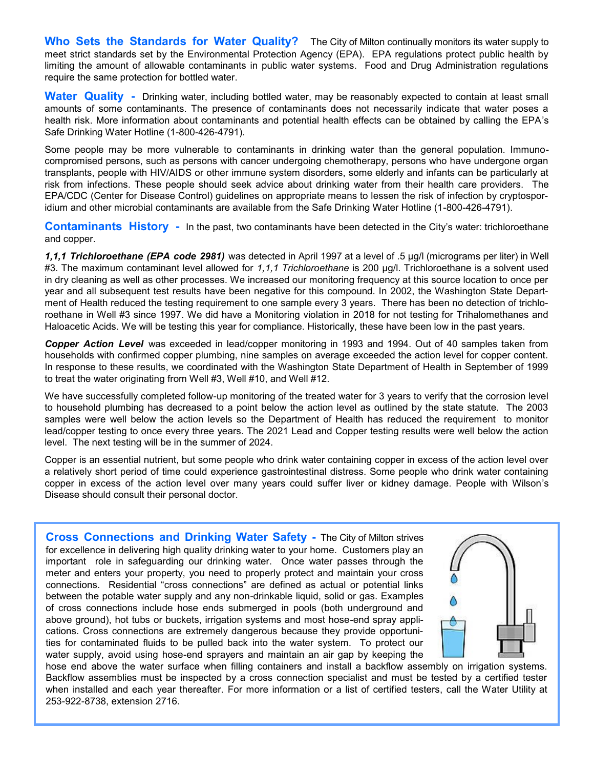**Who Sets the Standards for Water Quality?** The City of Milton continually monitors its water supply to meet strict standards set by the Environmental Protection Agency (EPA). EPA regulations protect public health by limiting the amount of allowable contaminants in public water systems. Food and Drug Administration regulations require the same protection for bottled water.

**Water Quality -** Drinking water, including bottled water, may be reasonably expected to contain at least small amounts of some contaminants. The presence of contaminants does not necessarily indicate that water poses a health risk. More information about contaminants and potential health effects can be obtained by calling the EPA's Safe Drinking Water Hotline (1-800-426-4791).

Some people may be more vulnerable to contaminants in drinking water than the general population. Immunocompromised persons, such as persons with cancer undergoing chemotherapy, persons who have undergone organ transplants, people with HIV/AIDS or other immune system disorders, some elderly and infants can be particularly at risk from infections. These people should seek advice about drinking water from their health care providers. The EPA/CDC (Center for Disease Control) guidelines on appropriate means to lessen the risk of infection by cryptosporidium and other microbial contaminants are available from the Safe Drinking Water Hotline (1-800-426-4791).

**Contaminants History -** In the past, two contaminants have been detected in the City's water: trichloroethane and copper.

*1,1,1 Trichloroethane (EPA code 2981)* was detected in April 1997 at a level of .5 μg/l (micrograms per liter) in Well #3. The maximum contaminant level allowed for *1,1,1 Trichloroethane* is 200 μg/l. Trichloroethane is a solvent used in dry cleaning as well as other processes. We increased our monitoring frequency at this source location to once per year and all subsequent test results have been negative for this compound. In 2002, the Washington State Department of Health reduced the testing requirement to one sample every 3 years. There has been no detection of trichloroethane in Well #3 since 1997. We did have a Monitoring violation in 2018 for not testing for Trihalomethanes and Haloacetic Acids. We will be testing this year for compliance. Historically, these have been low in the past years.

*Copper Action Level* was exceeded in lead/copper monitoring in 1993 and 1994. Out of 40 samples taken from households with confirmed copper plumbing, nine samples on average exceeded the action level for copper content. In response to these results, we coordinated with the Washington State Department of Health in September of 1999 to treat the water originating from Well #3, Well #10, and Well #12.

We have successfully completed follow-up monitoring of the treated water for 3 years to verify that the corrosion level to household plumbing has decreased to a point below the action level as outlined by the state statute. The 2003 samples were well below the action levels so the Department of Health has reduced the requirement to monitor lead/copper testing to once every three years. The 2021 Lead and Copper testing results were well below the action level. The next testing will be in the summer of 2024.

Copper is an essential nutrient, but some people who drink water containing copper in excess of the action level over a relatively short period of time could experience gastrointestinal distress. Some people who drink water containing copper in excess of the action level over many years could suffer liver or kidney damage. People with Wilson's Disease should consult their personal doctor.

**Cross Connections and Drinking Water Safety -** The City of Milton strives for excellence in delivering high quality drinking water to your home. Customers play an important role in safeguarding our drinking water. Once water passes through the meter and enters your property, you need to properly protect and maintain your cross connections. Residential "cross connections" are defined as actual or potential links between the potable water supply and any non-drinkable liquid, solid or gas. Examples of cross connections include hose ends submerged in pools (both underground and above ground), hot tubs or buckets, irrigation systems and most hose-end spray applications. Cross connections are extremely dangerous because they provide opportunities for contaminated fluids to be pulled back into the water system. To protect our water supply, avoid using hose-end sprayers and maintain an air gap by keeping the



hose end above the water surface when filling containers and install a backflow assembly on irrigation systems. Backflow assemblies must be inspected by a cross connection specialist and must be tested by a certified tester when installed and each year thereafter. For more information or a list of certified testers, call the Water Utility at 253-922-8738, extension 2716.